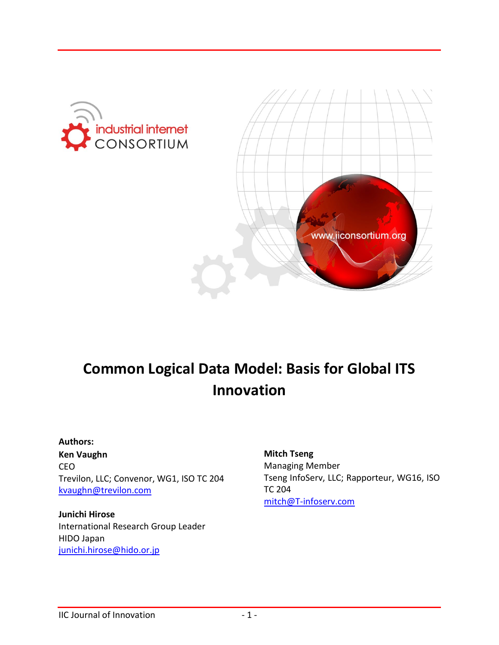



# **Common Logical Data Model: Basis for Global ITS Innovation**

#### **Authors:**

**Ken Vaughn** CEO Trevilon, LLC; Convenor, WG1, ISO TC 204 [kvaughn@trevilon.com](mailto:kvaughn@trevilon.com)

#### **Junichi Hirose**

International Research Group Leader HIDO Japan [junichi.hirose@hido.or.jp](mailto:junichi.hirose@hido.or.jp)

**Mitch Tseng** Managing Member Tseng InfoServ, LLC; Rapporteur, WG16, ISO TC 204 [mitch@T-infoserv.com](mailto:mitch@T-infoserv.com)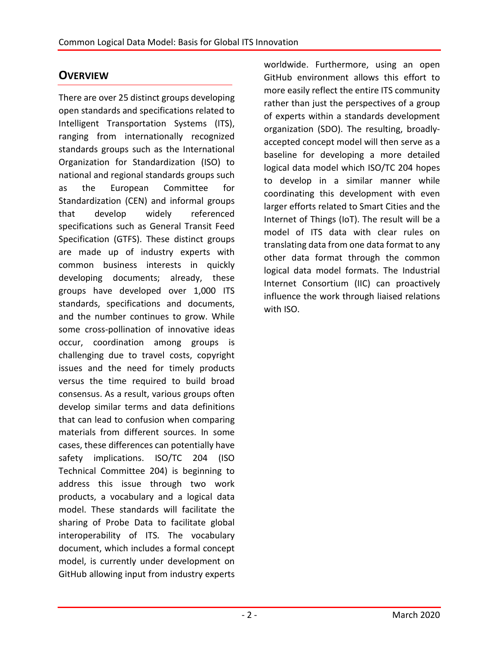## **OVERVIEW**

There are over 25 distinct groups developing open standards and specifications related to Intelligent Transportation Systems (ITS), ranging from internationally recognized standards groups such as the International Organization for Standardization (ISO) to national and regional standards groups such as the European Committee for Standardization (CEN) and informal groups that develop widely referenced specifications such as General Transit Feed Specification (GTFS). These distinct groups are made up of industry experts with common business interests in quickly developing documents; already, these groups have developed over 1,000 ITS standards, specifications and documents, and the number continues to grow. While some cross-pollination of innovative ideas occur, coordination among groups is challenging due to travel costs, copyright issues and the need for timely products versus the time required to build broad consensus. As a result, various groups often develop similar terms and data definitions that can lead to confusion when comparing materials from different sources. In some cases, these differences can potentially have safety implications. ISO/TC 204 (ISO Technical Committee 204) is beginning to address this issue through two work products, a vocabulary and a logical data model. These standards will facilitate the sharing of Probe Data to facilitate global interoperability of ITS. The vocabulary document, which includes a formal concept model, is currently under development on GitHub allowing input from industry experts

worldwide. Furthermore, using an open GitHub environment allows this effort to more easily reflect the entire ITS community rather than just the perspectives of a group of experts within a standards development organization (SDO). The resulting, broadlyaccepted concept model will then serve as a baseline for developing a more detailed logical data model which ISO/TC 204 hopes to develop in a similar manner while coordinating this development with even larger efforts related to Smart Cities and the Internet of Things (IoT). The result will be a model of ITS data with clear rules on translating data from one data format to any other data format through the common logical data model formats. The Industrial Internet Consortium (IIC) can proactively influence the work through liaised relations with ISO.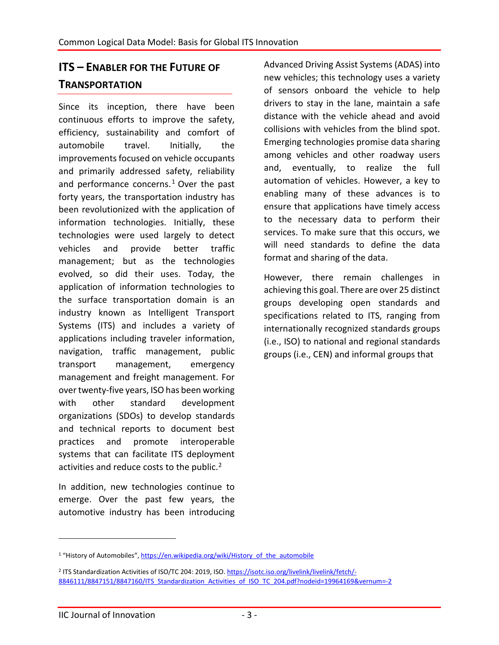## **ITS – ENABLER FOR THE FUTURE OF TRANSPORTATION**

Since its inception, there have been continuous efforts to improve the safety, efficiency, sustainability and comfort of automobile travel. Initially, the improvements focused on vehicle occupants and primarily addressed safety, reliability and performance concerns. $1$  Over the past forty years, the transportation industry has been revolutionized with the application of information technologies. Initially, these technologies were used largely to detect vehicles and provide better traffic management; but as the technologies evolved, so did their uses. Today, the application of information technologies to the surface transportation domain is an industry known as Intelligent Transport Systems (ITS) and includes a variety of applications including traveler information, navigation, traffic management, public transport management, emergency management and freight management. For over twenty-five years, ISO has been working with other standard development organizations (SDOs) to develop standards and technical reports to document best practices and promote interoperable systems that can facilitate ITS deployment activities and reduce costs to the public.<sup>[2](#page-2-1)</sup>

In addition, new technologies continue to emerge. Over the past few years, the automotive industry has been introducing Advanced Driving Assist Systems (ADAS) into new vehicles; this technology uses a variety of sensors onboard the vehicle to help drivers to stay in the lane, maintain a safe distance with the vehicle ahead and avoid collisions with vehicles from the blind spot. Emerging technologies promise data sharing among vehicles and other roadway users and, eventually, to realize the full automation of vehicles. However, a key to enabling many of these advances is to ensure that applications have timely access to the necessary data to perform their services. To make sure that this occurs, we will need standards to define the data format and sharing of the data.

However, there remain challenges in achieving this goal. There are over 25 distinct groups developing open standards and specifications related to ITS, ranging from internationally recognized standards groups (i.e., ISO) to national and regional standards groups (i.e., CEN) and informal groups that

<span id="page-2-0"></span><sup>&</sup>lt;sup>1</sup> "History of Automobiles", [https://en.wikipedia.org/wiki/History\\_of\\_the\\_automobile](https://en.wikipedia.org/wiki/History_of_the_automobile)

<span id="page-2-1"></span><sup>2</sup> ITS Standardization Activities of ISO/TC 204: 2019, ISO. [https://isotc.iso.org/livelink/livelink/fetch/-](https://isotc.iso.org/livelink/livelink/fetch/-8846111/8847151/8847160/ITS_Standardization_Activities_of_ISO_TC_204.pdf?nodeid=19964169&vernum=-2) [8846111/8847151/8847160/ITS\\_Standardization\\_Activities\\_of\\_ISO\\_TC\\_204.pdf?nodeid=19964169&vernum=-2](https://isotc.iso.org/livelink/livelink/fetch/-8846111/8847151/8847160/ITS_Standardization_Activities_of_ISO_TC_204.pdf?nodeid=19964169&vernum=-2)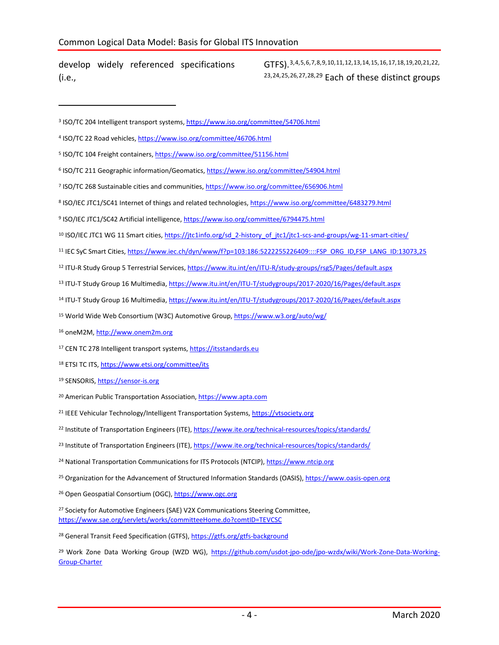develop widely referenced specifications (i.e.,

 $\overline{a}$ 

<span id="page-3-27"></span>GTFS).[3,](#page-3-0)[4](#page-3-1),[5,](#page-3-2)[6,](#page-3-3)[7](#page-3-4),[8,](#page-3-5)[9](#page-3-6),[10](#page-3-7),[11,](#page-3-8)[12](#page-3-9),[13](#page-3-10),[14,](#page-3-11)[15](#page-3-12),[16](#page-3-13),[17,](#page-3-14)[18,](#page-3-15)[19](#page-3-16),[20,](#page-3-17)[21](#page-3-18),[22,](#page-3-19) [23](#page-3-20),[24,](#page-3-21)[25,](#page-3-22)[26](#page-3-23),[27,](#page-3-24)[28](#page-3-25),[29](#page-3-26) Each of these distinct groups

- <span id="page-3-3"></span><sup>6</sup> ISO/TC 211 Geographic information/Geomatics,<https://www.iso.org/committee/54904.html>
- <span id="page-3-4"></span><sup>7</sup> ISO/TC 268 Sustainable cities and communities[, https://www.iso.org/committee/656906.html](https://www.iso.org/committee/656906.html)
- <span id="page-3-5"></span><sup>8</sup> ISO/IEC JTC1/SC41 Internet of things and related technologies[, https://www.iso.org/committee/6483279.html](https://www.iso.org/committee/6483279.html)
- <span id="page-3-6"></span><sup>9</sup> ISO/IEC JTC1/SC42 Artificial intelligence[, https://www.iso.org/committee/6794475.html](https://www.iso.org/committee/6794475.html)
- <span id="page-3-7"></span><sup>10</sup> ISO/IEC JTC1 WG 11 Smart cities, https://jtc1info.org/sd\_2-history\_of\_itc1/jtc1-scs-and-groups/wg-11-smart-cities/
- <span id="page-3-8"></span><sup>11</sup> IEC SyC Smart Cities[, https://www.iec.ch/dyn/www/f?p=103:186:5222255226409::::FSP\\_ORG\\_ID,FSP\\_LANG\\_ID:13073,25](https://www.iec.ch/dyn/www/f?p=103:186:5222255226409::::FSP_ORG_ID,FSP_LANG_ID:13073,25)
- <span id="page-3-9"></span><sup>12</sup> ITU-R Study Group 5 Terrestrial Services[, https://www.itu.int/en/ITU-R/study-groups/rsg5/Pages/default.aspx](https://www.itu.int/en/ITU-R/study-groups/rsg5/Pages/default.aspx)
- <span id="page-3-10"></span>13 ITU-T Study Group 16 Multimedia[, https://www.itu.int/en/ITU-T/studygroups/2017-2020/16/Pages/default.aspx](https://www.itu.int/en/ITU-T/studygroups/2017-2020/16/Pages/default.aspx)
- <span id="page-3-11"></span><sup>14</sup> ITU-T Study Group 16 Multimedia[, https://www.itu.int/en/ITU-T/studygroups/2017-2020/16/Pages/default.aspx](https://www.itu.int/en/ITU-T/studygroups/2017-2020/16/Pages/default.aspx)
- <span id="page-3-12"></span><sup>15</sup> World Wide Web Consortium (W3C) Automotive Group[, https://www.w3.org/auto/wg/](https://www.w3.org/auto/wg/)
- <span id="page-3-13"></span><sup>16</sup> oneM2M[, http://www.onem2m.org](http://www.onem2m.org/)
- <span id="page-3-14"></span>17 CEN TC 278 Intelligent transport systems, [https://itsstandards.eu](https://itsstandards.eu/)
- <span id="page-3-15"></span>18 ETSI TC ITS[, https://www.etsi.org/committee/its](https://www.etsi.org/committee/its)
- <span id="page-3-16"></span>19 SENSORIS, [https://sensor-is.org](https://sensor-is.org/)
- <span id="page-3-17"></span><sup>20</sup> American Public Transportation Association, [https://www.apta.com](https://www.apta.com/)
- <span id="page-3-18"></span><sup>21</sup> IEEE Vehicular Technology/Intelligent Transportation Systems[, https://vtsociety.org](https://vtsociety.org/)
- <span id="page-3-19"></span><sup>22</sup> Institute of Transportation Engineers (ITE)[, https://www.ite.org/technical-resources/topics/standards/](https://www.ite.org/technical-resources/topics/standards/)
- <span id="page-3-20"></span><sup>23</sup> Institute of Transportation Engineers (ITE)[, https://www.ite.org/technical-resources/topics/standards/](https://www.ite.org/technical-resources/topics/standards/)
- <span id="page-3-21"></span><sup>24</sup> National Transportation Communications for ITS Protocols (NTCIP)[, https://www.ntcip.org](https://www.ntcip.org/)
- <span id="page-3-22"></span><sup>25</sup> Organization for the Advancement of Structured Information Standards (OASIS), [https://www.oasis-open.org](https://www.oasis-open.org/)

<span id="page-3-23"></span><sup>26</sup> Open Geospatial Consortium (OGC), [https://www.ogc.org](https://www.ogc.org/)

<span id="page-3-24"></span><sup>27</sup> Society for Automotive Engineers (SAE) V2X Communications Steering Committee, <https://www.sae.org/servlets/works/committeeHome.do?comtID=TEVCSC>

<span id="page-3-25"></span><sup>28</sup> General Transit Feed Specification (GTFS),<https://gtfs.org/gtfs-background>

<span id="page-3-26"></span><sup>29</sup> Work Zone Data Working Group (WZD WG), [https://github.com/usdot-jpo-ode/jpo-wzdx/wiki/Work-Zone-Data-Working-](https://github.com/usdot-jpo-ode/jpo-wzdx/wiki/Work-Zone-Data-Working-Group-Charter)[Group-Charter](https://github.com/usdot-jpo-ode/jpo-wzdx/wiki/Work-Zone-Data-Working-Group-Charter)

<span id="page-3-0"></span><sup>3</sup> ISO/TC 204 Intelligent transport systems,<https://www.iso.org/committee/54706.html>

<span id="page-3-1"></span><sup>4</sup> ISO/TC 22 Road vehicles[, https://www.iso.org/committee/46706.html](https://www.iso.org/committee/46706.html)

<span id="page-3-2"></span><sup>5</sup> ISO/TC 104 Freight containers[, https://www.iso.org/committee/51156.html](https://www.iso.org/committee/51156.html)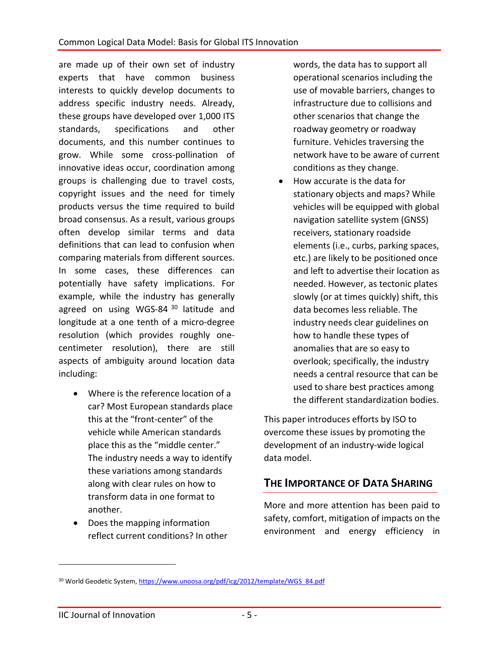are made up of their own set of industry experts that have common business interests to quickly develop documents to address specific industry needs. Already, these groups have developed over 1,000 ITS standards, specifications and other documents, and this number continues to grow. While some cross-pollination of innovative ideas occur, coordination among groups is challenging due to travel costs, copyright issues and the need for timely products versus the time required to build broad consensus. As a result, various groups often develop similar terms and data definitions that can lead to confusion when comparing materials from different sources. In some cases, these differences can potentially have safety implications. For example, while the industry has generally agreed on using WGS-84<sup>[30](#page-4-0)</sup> latitude and longitude at a one tenth of a micro-degree resolution (which provides roughly onecentimeter resolution), there are still aspects of ambiguity around location data including:

- Where is the reference location of a car? Most European standards place this at the "front-center" of the vehicle while American standards place this as the "middle center." The industry needs a way to identify these variations among standards along with clear rules on how to transform data in one format to another.
- Does the mapping information reflect current conditions? In other

words, the data has to support all operational scenarios including the use of movable barriers, changes to infrastructure due to collisions and other scenarios that change the roadway geometry or roadway furniture. Vehicles traversing the network have to be aware of current conditions as they change.

• How accurate is the data for stationary objects and maps? While vehicles will be equipped with global navigation satellite system (GNSS) receivers, stationary roadside elements (i.e., curbs, parking spaces, etc.) are likely to be positioned once and left to advertise their location as needed. However, as tectonic plates slowly (or at times quickly) shift, this data becomes less reliable. The industry needs clear guidelines on how to handle these types of anomalies that are so easy to overlook; specifically, the industry needs a central resource that can be used to share best practices among the different standardization bodies.

This paper introduces efforts by ISO to overcome these issues by promoting the development of an industry-wide logical data model.

## **THE IMPORTANCE OF DATA SHARING**

More and more attention has been paid to safety, comfort, mitigation of impacts on the environment and energy efficiency in

<span id="page-4-0"></span><sup>30</sup> World Geodetic System[, https://www.unoosa.org/pdf/icg/2012/template/WGS\\_84.pdf](https://www.unoosa.org/pdf/icg/2012/template/WGS_84.pdf)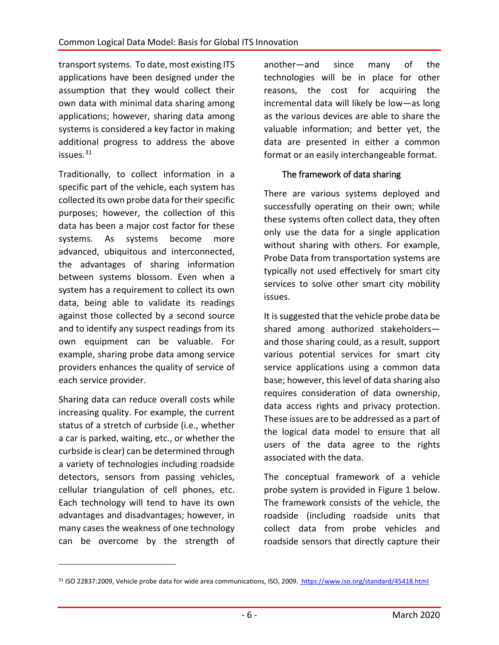transport systems. To date, most existing ITS applications have been designed under the assumption that they would collect their own data with minimal data sharing among applications; however, sharing data among systems is considered a key factor in making additional progress to address the above issues. [31](#page-5-0)

Traditionally, to collect information in a specific part of the vehicle, each system has collected its own probe data for their specific purposes; however, the collection of this data has been a major cost factor for these systems. As systems become more advanced, ubiquitous and interconnected, the advantages of sharing information between systems blossom. Even when a system has a requirement to collect its own data, being able to validate its readings against those collected by a second source and to identify any suspect readings from its own equipment can be valuable. For example, sharing probe data among service providers enhances the quality of service of each service provider.

Sharing data can reduce overall costs while increasing quality. For example, the current status of a stretch of curbside (i.e., whether a car is parked, waiting, etc., or whether the curbside is clear) can be determined through a variety of technologies including roadside detectors, sensors from passing vehicles, cellular triangulation of cell phones, etc. Each technology will tend to have its own advantages and disadvantages; however, in many cases the weakness of one technology can be overcome by the strength of

 $\overline{a}$ 

another—and since many of the technologies will be in place for other reasons, the cost for acquiring the incremental data will likely be low—as long as the various devices are able to share the valuable information; and better yet, the data are presented in either a common format or an easily interchangeable format.

## The framework of data sharing

There are various systems deployed and successfully operating on their own; while these systems often collect data, they often only use the data for a single application without sharing with others. For example, Probe Data from transportation systems are typically not used effectively for smart city services to solve other smart city mobility issues.

It is suggested that the vehicle probe data be shared among authorized stakeholders and those sharing could, as a result, support various potential services for smart city service applications using a common data base; however, this level of data sharing also requires consideration of data ownership, data access rights and privacy protection. These issues are to be addressed as a part of the logical data model to ensure that all users of the data agree to the rights associated with the data.

The conceptual framework of a vehicle probe system is provided in Figure 1 below. The framework consists of the vehicle, the roadside (including roadside units that collect data from probe vehicles and roadside sensors that directly capture their

<span id="page-5-0"></span><sup>31</sup> ISO 22837:2009, Vehicle probe data for wide area communications, ISO, 2009. <https://www.iso.org/standard/45418.html>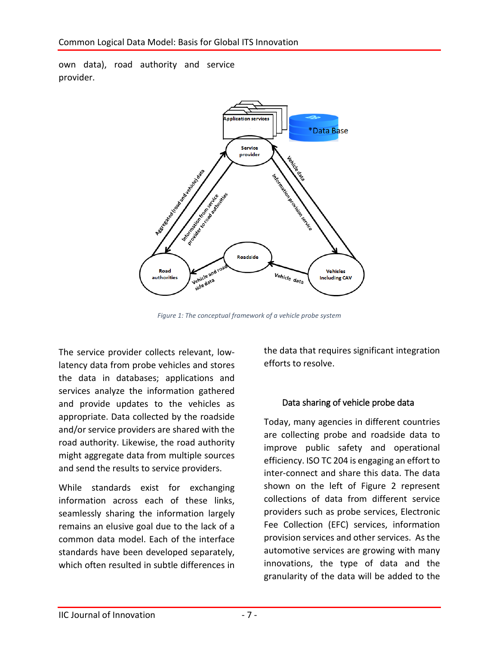own data), road authority and service provider.



*Figure 1: The conceptual framework of a vehicle probe system*

The service provider collects relevant, lowlatency data from probe vehicles and stores the data in databases; applications and services analyze the information gathered and provide updates to the vehicles as appropriate. Data collected by the roadside and/or service providers are shared with the road authority. Likewise, the road authority might aggregate data from multiple sources and send the results to service providers.

While standards exist for exchanging information across each of these links, seamlessly sharing the information largely remains an elusive goal due to the lack of a common data model. Each of the interface standards have been developed separately, which often resulted in subtle differences in

the data that requires significant integration efforts to resolve.

## Data sharing of vehicle probe data

Today, many agencies in different countries are collecting probe and roadside data to improve public safety and operational efficiency. ISO TC 204 is engaging an effort to inter-connect and share this data. The data shown on the left of Figure 2 represent collections of data from different service providers such as probe services, Electronic Fee Collection (EFC) services, information provision services and other services. As the automotive services are growing with many innovations, the type of data and the granularity of the data will be added to the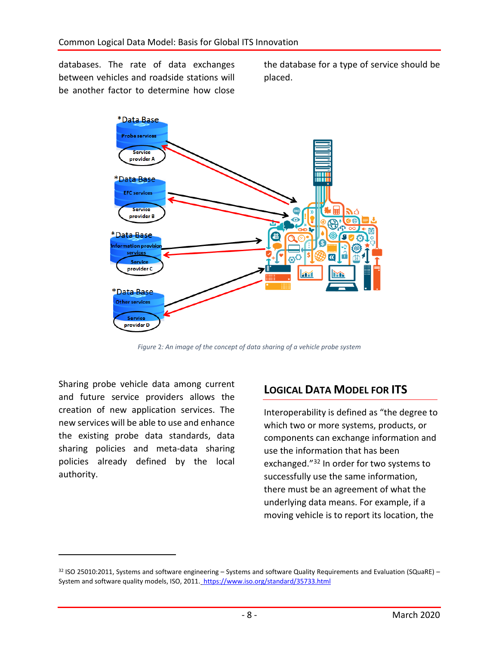databases. The rate of data exchanges between vehicles and roadside stations will be another factor to determine how close

the database for a type of service should be placed.



*Figure* 2*: An image of the concept of data sharing of a vehicle probe system*

Sharing probe vehicle data among current and future service providers allows the creation of new application services. The new services will be able to use and enhance the existing probe data standards, data sharing policies and meta-data sharing policies already defined by the local authority.

 $\overline{a}$ 

## **LOGICAL DATA MODEL FOR ITS**

Interoperability is defined as "the degree to which two or more systems, products, or components can exchange information and use the information that has been exchanged."<sup>[32](#page-7-0)</sup> In order for two systems to successfully use the same information, there must be an agreement of what the underlying data means. For example, if a moving vehicle is to report its location, the

<span id="page-7-0"></span> $32$  ISO 25010:2011, Systems and software engineering – Systems and software Quality Requirements and Evaluation (SQuaRE) – System and software quality models, ISO, 2011. https://www.iso.org/standard/35733.html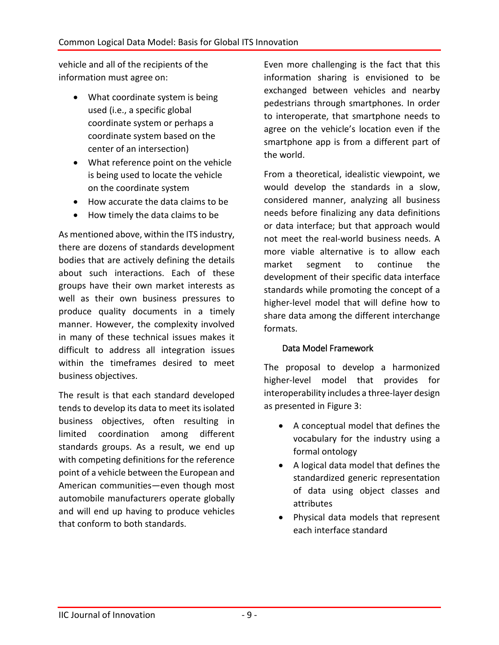vehicle and all of the recipients of the information must agree on:

- What coordinate system is being used (i.e., a specific global coordinate system or perhaps a coordinate system based on the center of an intersection)
- What reference point on the vehicle is being used to locate the vehicle on the coordinate system
- How accurate the data claims to be
- How timely the data claims to be

As mentioned above, within the ITS industry, there are dozens of standards development bodies that are actively defining the details about such interactions. Each of these groups have their own market interests as well as their own business pressures to produce quality documents in a timely manner. However, the complexity involved in many of these technical issues makes it difficult to address all integration issues within the timeframes desired to meet business objectives.

The result is that each standard developed tends to develop its data to meet its isolated business objectives, often resulting in limited coordination among different standards groups. As a result, we end up with competing definitions for the reference point of a vehicle between the European and American communities—even though most automobile manufacturers operate globally and will end up having to produce vehicles that conform to both standards.

Even more challenging is the fact that this information sharing is envisioned to be exchanged between vehicles and nearby pedestrians through smartphones. In order to interoperate, that smartphone needs to agree on the vehicle's location even if the smartphone app is from a different part of the world.

From a theoretical, idealistic viewpoint, we would develop the standards in a slow, considered manner, analyzing all business needs before finalizing any data definitions or data interface; but that approach would not meet the real-world business needs. A more viable alternative is to allow each market segment to continue the development of their specific data interface standards while promoting the concept of a higher-level model that will define how to share data among the different interchange formats.

#### Data Model Framework

The proposal to develop a harmonized higher-level model that provides for interoperability includes a three-layer design as presented in Figure 3:

- A conceptual model that defines the vocabulary for the industry using a formal ontology
- A logical data model that defines the standardized generic representation of data using object classes and attributes
- Physical data models that represent each interface standard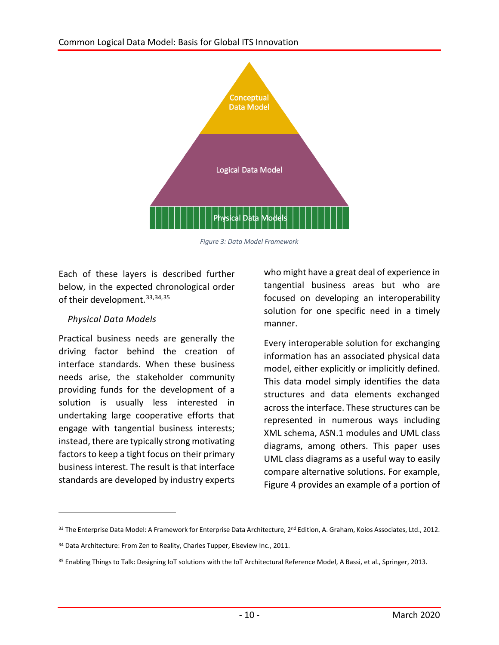### Common Logical Data Model: Basis for Global ITS Innovation



*Figure 3: Data Model Framework*

Each of these layers is described further below, in the expected chronological order of their development.<sup>[33](#page-9-0),[34,](#page-9-1)[35](#page-9-2)</sup>

## *Physical Data Models*

 $\overline{a}$ 

Practical business needs are generally the driving factor behind the creation of interface standards. When these business needs arise, the stakeholder community providing funds for the development of a solution is usually less interested in undertaking large cooperative efforts that engage with tangential business interests; instead, there are typically strong motivating factors to keep a tight focus on their primary business interest. The result is that interface standards are developed by industry experts

who might have a great deal of experience in tangential business areas but who are focused on developing an interoperability solution for one specific need in a timely manner.

Every interoperable solution for exchanging information has an associated physical data model, either explicitly or implicitly defined. This data model simply identifies the data structures and data elements exchanged across the interface. These structures can be represented in numerous ways including XML schema, ASN.1 modules and UML class diagrams, among others. This paper uses UML class diagrams as a useful way to easily compare alternative solutions. For example, Figure 4 provides an example of a portion of

<span id="page-9-0"></span><sup>33</sup> The Enterprise Data Model: A Framework for Enterprise Data Architecture, 2<sup>nd</sup> Edition, A. Graham, Koios Associates, Ltd., 2012.

<span id="page-9-1"></span><sup>&</sup>lt;sup>34</sup> Data Architecture: From Zen to Reality, Charles Tupper, Elseview Inc., 2011.

<span id="page-9-2"></span><sup>35</sup> Enabling Things to Talk: Designing IoT solutions with the IoT Architectural Reference Model, A Bassi, et al., Springer, 2013.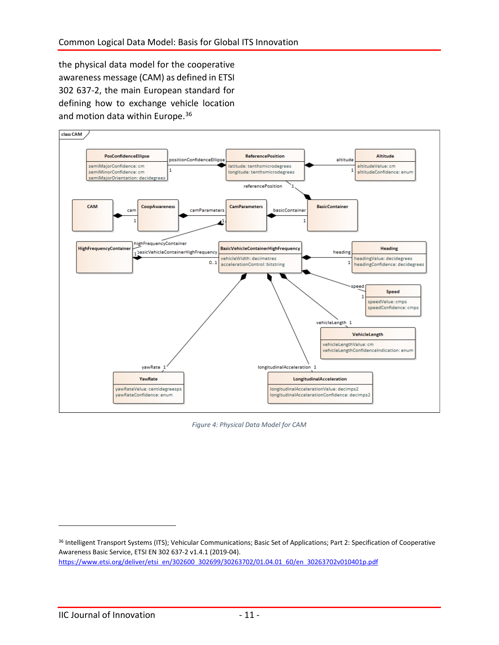the physical data model for the cooperative awareness message (CAM) as defined in ETSI 302 637-2, the main European standard for defining how to exchange vehicle location and motion data within Europe.<sup>[36](#page-10-0)</sup>



*Figure 4: Physical Data Model for CAM*

<span id="page-10-0"></span><sup>36</sup> Intelligent Transport Systems (ITS); Vehicular Communications; Basic Set of Applications; Part 2: Specification of Cooperative Awareness Basic Service, ETSI EN 302 637-2 v1.4.1 (2019-04). [https://www.etsi.org/deliver/etsi\\_en/302600\\_302699/30263702/01.04.01\\_60/en\\_30263702v010401p.pdf](https://www.etsi.org/deliver/etsi_en/302600_302699/30263702/01.04.01_60/en_30263702v010401p.pdf)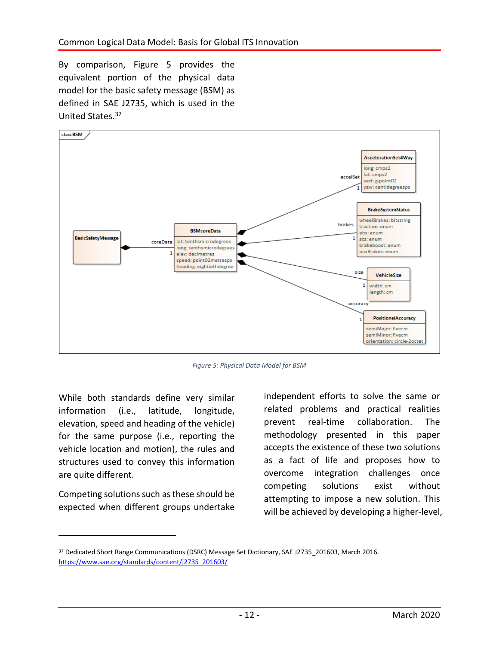By comparison, Figure 5 provides the equivalent portion of the physical data model for the basic safety message (BSM) as defined in SAE J2735, which is used in the United States. [37](#page-11-0)



*Figure 5: Physical Data Model for BSM*

While both standards define very similar information (i.e., latitude, longitude, elevation, speed and heading of the vehicle) for the same purpose (i.e., reporting the vehicle location and motion), the rules and structures used to convey this information are quite different.

Competing solutions such as these should be expected when different groups undertake

 $\overline{a}$ 

independent efforts to solve the same or related problems and practical realities prevent real-time collaboration. The methodology presented in this paper accepts the existence of these two solutions as a fact of life and proposes how to overcome integration challenges once competing solutions exist without attempting to impose a new solution. This will be achieved by developing a higher-level,

<span id="page-11-0"></span><sup>&</sup>lt;sup>37</sup> Dedicated Short Range Communications (DSRC) Message Set Dictionary, SAE J2735 201603, March 2016. [https://www.sae.org/standards/content/j2735\\_201603/](https://www.sae.org/standards/content/j2735_201603/)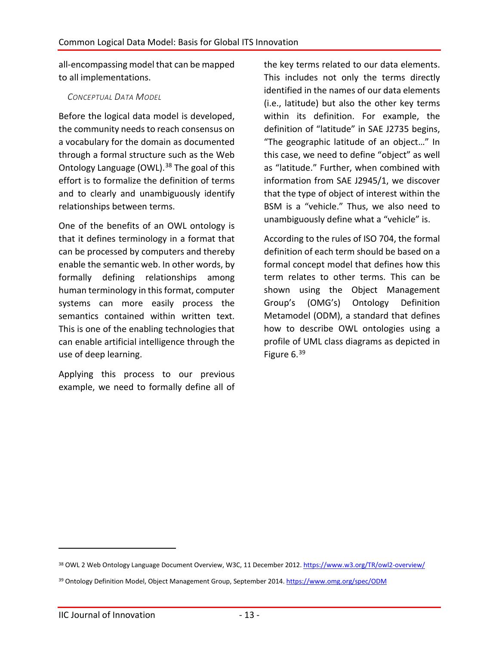all-encompassing model that can be mapped to all implementations.

#### *CONCEPTUAL DATA MODEL*

Before the logical data model is developed, the community needs to reach consensus on a vocabulary for the domain as documented through a formal structure such as the Web Ontology Language (OWL).<sup>[38](#page-12-0)</sup> The goal of this effort is to formalize the definition of terms and to clearly and unambiguously identify relationships between terms.

One of the benefits of an OWL ontology is that it defines terminology in a format that can be processed by computers and thereby enable the semantic web. In other words, by formally defining relationships among human terminology in this format, computer systems can more easily process the semantics contained within written text. This is one of the enabling technologies that can enable artificial intelligence through the use of deep learning.

Applying this process to our previous example, we need to formally define all of the key terms related to our data elements. This includes not only the terms directly identified in the names of our data elements (i.e., latitude) but also the other key terms within its definition. For example, the definition of "latitude" in SAE J2735 begins, "The geographic latitude of an object…" In this case, we need to define "object" as well as "latitude." Further, when combined with information from SAE J2945/1, we discover that the type of object of interest within the BSM is a "vehicle." Thus, we also need to unambiguously define what a "vehicle" is.

According to the rules of ISO 704, the formal definition of each term should be based on a formal concept model that defines how this term relates to other terms. This can be shown using the Object Management Group's (OMG's) Ontology Definition Metamodel (ODM), a standard that defines how to describe OWL ontologies using a profile of UML class diagrams as depicted in Figure 6.<sup>[39](#page-12-1)</sup>

<span id="page-12-0"></span><sup>38</sup> OWL 2 Web Ontology Language Document Overview, W3C, 11 December 2012[. https://www.w3.org/TR/owl2-overview/](https://www.w3.org/TR/owl2-overview/)

<span id="page-12-1"></span><sup>39</sup> Ontology Definition Model, Object Management Group, September 2014[. https://www.omg.org/spec/ODM](https://www.omg.org/spec/ODM)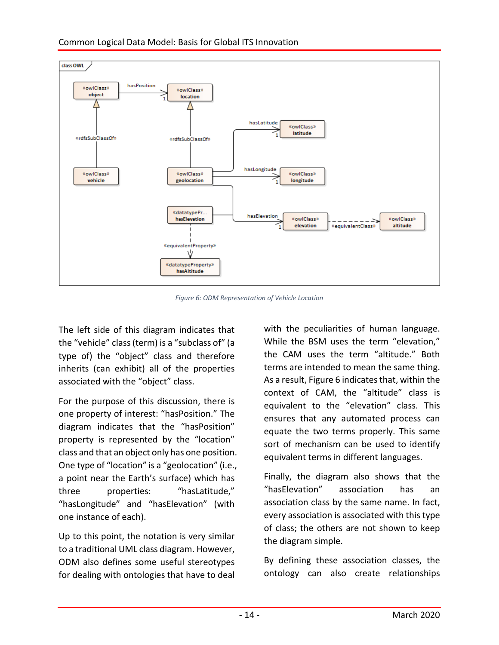

Common Logical Data Model: Basis for Global ITS Innovation

*Figure 6: ODM Representation of Vehicle Location*

The left side of this diagram indicates that the "vehicle" class (term) is a "subclass of" (a type of) the "object" class and therefore inherits (can exhibit) all of the properties associated with the "object" class.

For the purpose of this discussion, there is one property of interest: "hasPosition." The diagram indicates that the "hasPosition" property is represented by the "location" class and that an object only has one position. One type of "location" is a "geolocation" (i.e., a point near the Earth's surface) which has three properties: "hasLatitude," "hasLongitude" and "hasElevation" (with one instance of each).

Up to this point, the notation is very similar to a traditional UML class diagram. However, ODM also defines some useful stereotypes for dealing with ontologies that have to deal with the peculiarities of human language. While the BSM uses the term "elevation," the CAM uses the term "altitude." Both terms are intended to mean the same thing. As a result, Figure 6 indicates that, within the context of CAM, the "altitude" class is equivalent to the "elevation" class. This ensures that any automated process can equate the two terms properly. This same sort of mechanism can be used to identify equivalent terms in different languages.

Finally, the diagram also shows that the "hasElevation" association has an association class by the same name. In fact, every association is associated with this type of class; the others are not shown to keep the diagram simple.

By defining these association classes, the ontology can also create relationships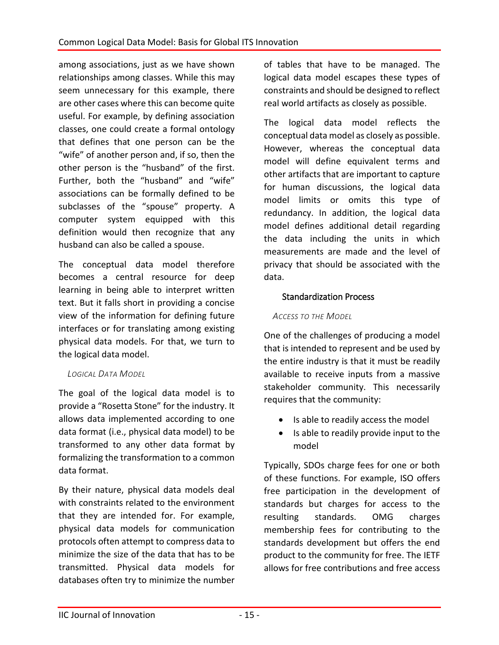among associations, just as we have shown relationships among classes. While this may seem unnecessary for this example, there are other cases where this can become quite useful. For example, by defining association classes, one could create a formal ontology that defines that one person can be the "wife" of another person and, if so, then the other person is the "husband" of the first. Further, both the "husband" and "wife" associations can be formally defined to be subclasses of the "spouse" property. A computer system equipped with this definition would then recognize that any husband can also be called a spouse.

The conceptual data model therefore becomes a central resource for deep learning in being able to interpret written text. But it falls short in providing a concise view of the information for defining future interfaces or for translating among existing physical data models. For that, we turn to the logical data model.

## *LOGICAL DATA MODEL*

The goal of the logical data model is to provide a "Rosetta Stone" for the industry. It allows data implemented according to one data format (i.e., physical data model) to be transformed to any other data format by formalizing the transformation to a common data format.

By their nature, physical data models deal with constraints related to the environment that they are intended for. For example, physical data models for communication protocols often attempt to compress data to minimize the size of the data that has to be transmitted. Physical data models for databases often try to minimize the number

of tables that have to be managed. The logical data model escapes these types of constraints and should be designed to reflect real world artifacts as closely as possible.

The logical data model reflects the conceptual data model as closely as possible. However, whereas the conceptual data model will define equivalent terms and other artifacts that are important to capture for human discussions, the logical data model limits or omits this type of redundancy. In addition, the logical data model defines additional detail regarding the data including the units in which measurements are made and the level of privacy that should be associated with the data.

## Standardization Process

## *ACCESS TO THE MODEL*

One of the challenges of producing a model that is intended to represent and be used by the entire industry is that it must be readily available to receive inputs from a massive stakeholder community. This necessarily requires that the community:

- Is able to readily access the model
- Is able to readily provide input to the model

Typically, SDOs charge fees for one or both of these functions. For example, ISO offers free participation in the development of standards but charges for access to the resulting standards. OMG charges membership fees for contributing to the standards development but offers the end product to the community for free. The IETF allows for free contributions and free access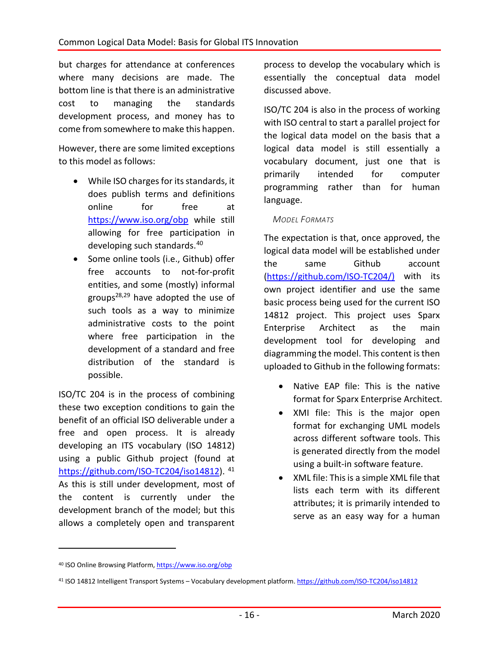but charges for attendance at conferences where many decisions are made. The bottom line is that there is an administrative cost to managing the standards development process, and money has to come from somewhere to make this happen.

However, there are some limited exceptions to this model as follows:

- While ISO charges for its standards, it does publish terms and definitions online for free at <https://www.iso.org/obp> while still allowing for free participation in developing such standards. [40](#page-15-0)
- Some online tools (i.e., Github) offer free accounts to not-for-profit entities, and some (mostly) informal groups<sup>2[8,29](#page-3-27)</sup> have adopted the use of such tools as a way to minimize administrative costs to the point where free participation in the development of a standard and free distribution of the standard is possible.

ISO/TC 204 is in the process of combining these two exception conditions to gain the benefit of an official ISO deliverable under a free and open process. It is already developing an ITS vocabulary (ISO 14812) using a public Github project (found at [https://github.com/ISO-TC204/iso14812\)](https://github.com/ISO-TC204/iso14812). [41](#page-15-1) As this is still under development, most of the content is currently under the development branch of the model; but this allows a completely open and transparent

process to develop the vocabulary which is essentially the conceptual data model discussed above.

ISO/TC 204 is also in the process of working with ISO central to start a parallel project for the logical data model on the basis that a logical data model is still essentially a vocabulary document, just one that is primarily intended for computer programming rather than for human language.

### *MODEL FORMATS*

The expectation is that, once approved, the logical data model will be established under the same Github account [\(https://github.com/ISO-TC204/\)](https://github.com/ISO-TC204/) with its own project identifier and use the same basic process being used for the current ISO 14812 project. This project uses Sparx Enterprise Architect as the main development tool for developing and diagramming the model. This content is then uploaded to Github in the following formats:

- Native EAP file: This is the native format for Sparx Enterprise Architect.
- XMI file: This is the major open format for exchanging UML models across different software tools. This is generated directly from the model using a built-in software feature.
- XML file: This is a simple XML file that lists each term with its different attributes; it is primarily intended to serve as an easy way for a human

<span id="page-15-0"></span><sup>40</sup> ISO Online Browsing Platform[, https://www.iso.org/obp](https://www.iso.org/obp)

<span id="page-15-1"></span><sup>41</sup> ISO 14812 Intelligent Transport Systems – Vocabulary development platform.<https://github.com/ISO-TC204/iso14812>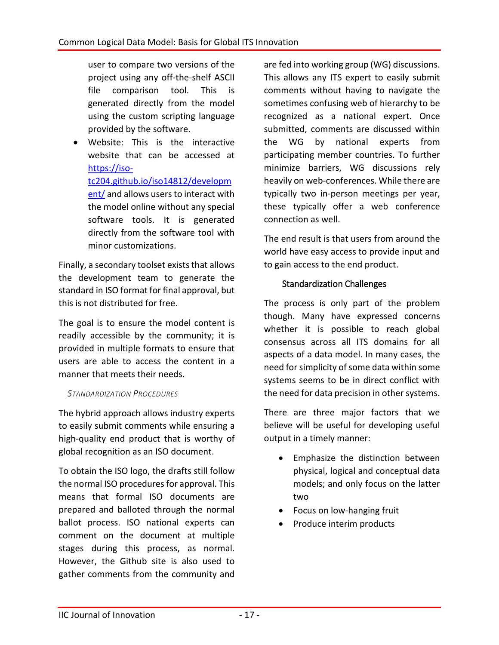user to compare two versions of the project using any off-the-shelf ASCII file comparison tool. This is generated directly from the model using the custom scripting language provided by the software.

• Website: This is the interactive website that can be accessed at [https://iso](https://iso-tc204.github.io/iso14812/development/)[tc204.github.io/iso14812/developm](https://iso-tc204.github.io/iso14812/development/) [ent/](https://iso-tc204.github.io/iso14812/development/) and allows users to interact with the model online without any special software tools. It is generated directly from the software tool with minor customizations.

Finally, a secondary toolset exists that allows the development team to generate the standard in ISO format for final approval, but this is not distributed for free.

The goal is to ensure the model content is readily accessible by the community; it is provided in multiple formats to ensure that users are able to access the content in a manner that meets their needs.

#### *STANDARDIZATION PROCEDURES*

The hybrid approach allows industry experts to easily submit comments while ensuring a high-quality end product that is worthy of global recognition as an ISO document.

To obtain the ISO logo, the drafts still follow the normal ISO procedures for approval. This means that formal ISO documents are prepared and balloted through the normal ballot process. ISO national experts can comment on the document at multiple stages during this process, as normal. However, the Github site is also used to gather comments from the community and

are fed into working group (WG) discussions. This allows any ITS expert to easily submit comments without having to navigate the sometimes confusing web of hierarchy to be recognized as a national expert. Once submitted, comments are discussed within the WG by national experts from participating member countries. To further minimize barriers, WG discussions rely heavily on web-conferences. While there are typically two in-person meetings per year, these typically offer a web conference connection as well.

The end result is that users from around the world have easy access to provide input and to gain access to the end product.

## Standardization Challenges

The process is only part of the problem though. Many have expressed concerns whether it is possible to reach global consensus across all ITS domains for all aspects of a data model. In many cases, the need for simplicity of some data within some systems seems to be in direct conflict with the need for data precision in other systems.

There are three major factors that we believe will be useful for developing useful output in a timely manner:

- Emphasize the distinction between physical, logical and conceptual data models; and only focus on the latter two
- Focus on low-hanging fruit
- Produce interim products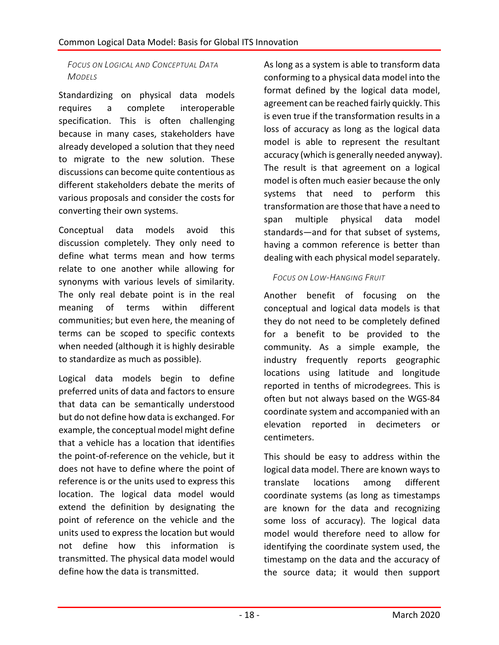## *FOCUS ON LOGICAL AND CONCEPTUAL DATA MODELS*

Standardizing on physical data models requires a complete interoperable specification. This is often challenging because in many cases, stakeholders have already developed a solution that they need to migrate to the new solution. These discussions can become quite contentious as different stakeholders debate the merits of various proposals and consider the costs for converting their own systems.

Conceptual data models avoid this discussion completely. They only need to define what terms mean and how terms relate to one another while allowing for synonyms with various levels of similarity. The only real debate point is in the real meaning of terms within different communities; but even here, the meaning of terms can be scoped to specific contexts when needed (although it is highly desirable to standardize as much as possible).

Logical data models begin to define preferred units of data and factors to ensure that data can be semantically understood but do not define how data is exchanged. For example, the conceptual model might define that a vehicle has a location that identifies the point-of-reference on the vehicle, but it does not have to define where the point of reference is or the units used to express this location. The logical data model would extend the definition by designating the point of reference on the vehicle and the units used to express the location but would not define how this information is transmitted. The physical data model would define how the data is transmitted.

As long as a system is able to transform data conforming to a physical data model into the format defined by the logical data model, agreement can be reached fairly quickly. This is even true if the transformation results in a loss of accuracy as long as the logical data model is able to represent the resultant accuracy (which is generally needed anyway). The result is that agreement on a logical model is often much easier because the only systems that need to perform this transformation are those that have a need to span multiple physical data model standards—and for that subset of systems, having a common reference is better than dealing with each physical model separately.

## *FOCUS ON LOW-HANGING FRUIT*

Another benefit of focusing on the conceptual and logical data models is that they do not need to be completely defined for a benefit to be provided to the community. As a simple example, the industry frequently reports geographic locations using latitude and longitude reported in tenths of microdegrees. This is often but not always based on the WGS-84 coordinate system and accompanied with an elevation reported in decimeters or centimeters.

This should be easy to address within the logical data model. There are known ways to translate locations among different coordinate systems (as long as timestamps are known for the data and recognizing some loss of accuracy). The logical data model would therefore need to allow for identifying the coordinate system used, the timestamp on the data and the accuracy of the source data; it would then support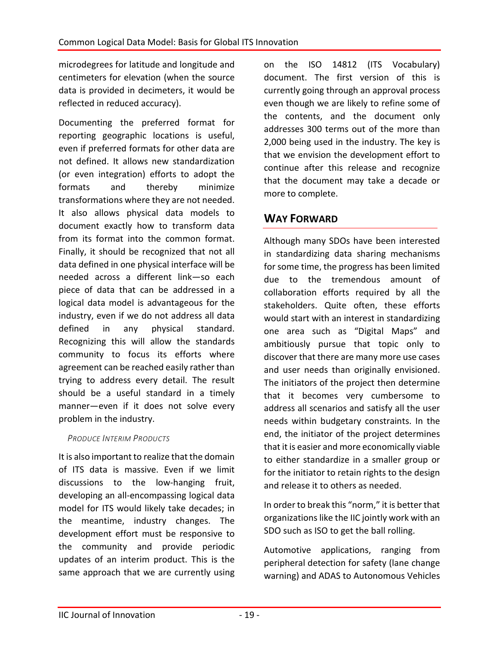microdegrees for latitude and longitude and centimeters for elevation (when the source data is provided in decimeters, it would be reflected in reduced accuracy).

Documenting the preferred format for reporting geographic locations is useful, even if preferred formats for other data are not defined. It allows new standardization (or even integration) efforts to adopt the formats and thereby minimize transformations where they are not needed. It also allows physical data models to document exactly how to transform data from its format into the common format. Finally, it should be recognized that not all data defined in one physical interface will be needed across a different link—so each piece of data that can be addressed in a logical data model is advantageous for the industry, even if we do not address all data defined in any physical standard. Recognizing this will allow the standards community to focus its efforts where agreement can be reached easily rather than trying to address every detail. The result should be a useful standard in a timely manner—even if it does not solve every problem in the industry.

## *PRODUCE INTERIM PRODUCTS*

It is also important to realize that the domain of ITS data is massive. Even if we limit discussions to the low-hanging fruit, developing an all-encompassing logical data model for ITS would likely take decades; in the meantime, industry changes. The development effort must be responsive to the community and provide periodic updates of an interim product. This is the same approach that we are currently using

on the ISO 14812 (ITS Vocabulary) document. The first version of this is currently going through an approval process even though we are likely to refine some of the contents, and the document only addresses 300 terms out of the more than 2,000 being used in the industry. The key is that we envision the development effort to continue after this release and recognize that the document may take a decade or more to complete.

## **WAY FORWARD**

Although many SDOs have been interested in standardizing data sharing mechanisms for some time, the progress has been limited due to the tremendous amount of collaboration efforts required by all the stakeholders. Quite often, these efforts would start with an interest in standardizing one area such as "Digital Maps" and ambitiously pursue that topic only to discover that there are many more use cases and user needs than originally envisioned. The initiators of the project then determine that it becomes very cumbersome to address all scenarios and satisfy all the user needs within budgetary constraints. In the end, the initiator of the project determines that it is easier and more economically viable to either standardize in a smaller group or for the initiator to retain rights to the design and release it to others as needed.

In order to break this "norm," it is better that organizations like the IIC jointly work with an SDO such as ISO to get the ball rolling.

Automotive applications, ranging from peripheral detection for safety (lane change warning) and ADAS to Autonomous Vehicles